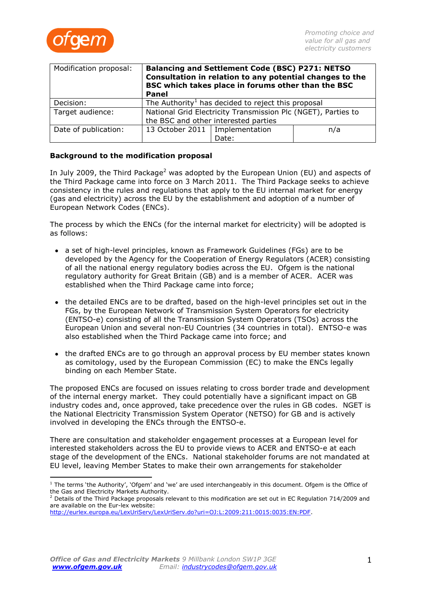

| Modification proposal: | Balancing and Settlement Code (BSC) P271: NETSO<br>Consultation in relation to any potential changes to the<br>BSC which takes place in forums other than the BSC<br><b>Panel</b> |       |     |
|------------------------|-----------------------------------------------------------------------------------------------------------------------------------------------------------------------------------|-------|-----|
| Decision:              | The Authority <sup>1</sup> has decided to reject this proposal                                                                                                                    |       |     |
| Target audience:       | National Grid Electricity Transmission Plc (NGET), Parties to<br>the BSC and other interested parties                                                                             |       |     |
| Date of publication:   | 13 October 2011   Implementation                                                                                                                                                  |       | n/a |
|                        |                                                                                                                                                                                   | Date: |     |

# **Background to the modification proposal**

In July 2009, the Third Package<sup>2</sup> was adopted by the European Union (EU) and aspects of the Third Package came into force on 3 March 2011. The Third Package seeks to achieve consistency in the rules and regulations that apply to the EU internal market for energy (gas and electricity) across the EU by the establishment and adoption of a number of European Network Codes (ENCs).

The process by which the ENCs (for the internal market for electricity) will be adopted is as follows:

- a set of high-level principles, known as Framework Guidelines (FGs) are to be developed by the Agency for the Cooperation of Energy Regulators (ACER) consisting of all the national energy regulatory bodies across the EU. Ofgem is the national regulatory authority for Great Britain (GB) and is a member of ACER. ACER was established when the Third Package came into force;
- the detailed ENCs are to be drafted, based on the high-level principles set out in the FGs, by the European Network of Transmission System Operators for electricity (ENTSO-e) consisting of all the Transmission System Operators (TSOs) across the European Union and several non-EU Countries (34 countries in total). ENTSO-e was also established when the Third Package came into force; and
- the drafted ENCs are to go through an approval process by EU member states known as comitology, used by the European Commission (EC) to make the ENCs legally binding on each Member State.

The proposed ENCs are focused on issues relating to cross border trade and development of the internal energy market. They could potentially have a significant impact on GB industry codes and, once approved, take precedence over the rules in GB codes. NGET is the National Electricity Transmission System Operator (NETSO) for GB and is actively involved in developing the ENCs through the ENTSO-e.

There are consultation and stakeholder engagement processes at a European level for interested stakeholders across the EU to provide views to ACER and ENTSO-e at each stage of the development of the ENCs. National stakeholder forums are not mandated at EU level, leaving Member States to make their own arrangements for stakeholder

 $1$  The terms 'the Authority', 'Ofgem' and 'we' are used interchangeably in this document. Ofgem is the Office of the Gas and Electricity Markets Authority.

 $2$  Details of the Third Package proposals relevant to this modification are set out in EC Regulation 714/2009 and are available on the Eur-lex website:

[http://eurlex.europa.eu/LexUriServ/LexUriServ.do?uri=OJ:L:2009:211:0015:0035:EN:PDF.](http://eurlex.europa.eu/LexUriServ/LexUriServ.do?uri=OJ:L:2009:211:0015:0035:EN:PDF)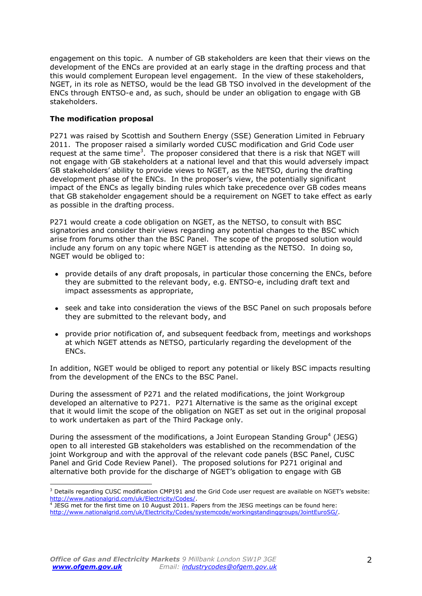engagement on this topic. A number of GB stakeholders are keen that their views on the development of the ENCs are provided at an early stage in the drafting process and that this would complement European level engagement. In the view of these stakeholders, NGET, in its role as NETSO, would be the lead GB TSO involved in the development of the ENCs through ENTSO-e and, as such, should be under an obligation to engage with GB stakeholders.

# **The modification proposal**

P271 was raised by Scottish and Southern Energy (SSE) Generation Limited in February 2011. The proposer raised a similarly worded CUSC modification and Grid Code user request at the same time<sup>3</sup>. The proposer considered that there is a risk that NGET will not engage with GB stakeholders at a national level and that this would adversely impact GB stakeholders' ability to provide views to NGET, as the NETSO, during the drafting development phase of the ENCs. In the proposer's view, the potentially significant impact of the ENCs as legally binding rules which take precedence over GB codes means that GB stakeholder engagement should be a requirement on NGET to take effect as early as possible in the drafting process.

P271 would create a code obligation on NGET, as the NETSO, to consult with BSC signatories and consider their views regarding any potential changes to the BSC which arise from forums other than the BSC Panel. The scope of the proposed solution would include any forum on any topic where NGET is attending as the NETSO. In doing so, NGET would be obliged to:

- provide details of any draft proposals, in particular those concerning the ENCs, before they are submitted to the relevant body, e.g. ENTSO-e, including draft text and impact assessments as appropriate,
- seek and take into consideration the views of the BSC Panel on such proposals before they are submitted to the relevant body, and
- provide prior notification of, and subsequent feedback from, meetings and workshops at which NGET attends as NETSO, particularly regarding the development of the ENCs.

In addition, NGET would be obliged to report any potential or likely BSC impacts resulting from the development of the ENCs to the BSC Panel.

During the assessment of P271 and the related modifications, the joint Workgroup developed an alternative to P271. P271 Alternative is the same as the original except that it would limit the scope of the obligation on NGET as set out in the original proposal to work undertaken as part of the Third Package only.

During the assessment of the modifications, a Joint European Standing Group<sup>4</sup> (JESG) open to all interested GB stakeholders was established on the recommendation of the joint Workgroup and with the approval of the relevant code panels (BSC Panel, CUSC Panel and Grid Code Review Panel). The proposed solutions for P271 original and alternative both provide for the discharge of NGET's obligation to engage with GB

 $\overline{a}$ <sup>3</sup> Details regarding CUSC modification CMP191 and the Grid Code user request are available on NGET's website: [http://www.nationalgrid.com/uk/Electricity/Codes/.](http://www.nationalgrid.com/uk/Electricity/Codes/)

<sup>4</sup> JESG met for the first time on 10 August 2011. Papers from the JESG meetings can be found here: [http://www.nationalgrid.com/uk/Electricity/Codes/systemcode/workingstandinggroups/JointEuroSG/.](http://www.nationalgrid.com/uk/Electricity/Codes/systemcode/workingstandinggroups/JointEuroSG/)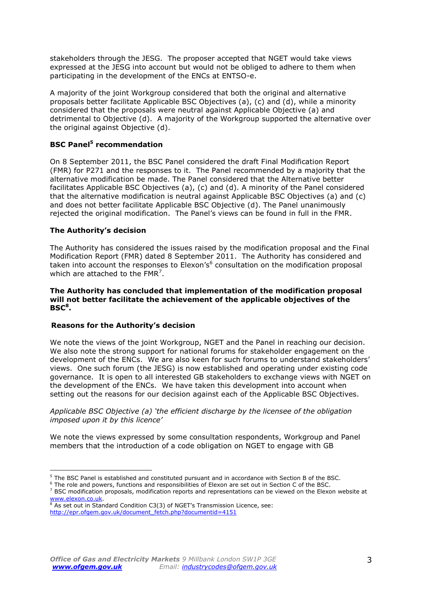stakeholders through the JESG. The proposer accepted that NGET would take views expressed at the JESG into account but would not be obliged to adhere to them when participating in the development of the ENCs at ENTSO-e.

A majority of the joint Workgroup considered that both the original and alternative proposals better facilitate Applicable BSC Objectives (a), (c) and (d), while a minority considered that the proposals were neutral against Applicable Objective (a) and detrimental to Objective (d). A majority of the Workgroup supported the alternative over the original against Objective (d).

# **BSC Panel<sup>5</sup> recommendation**

On 8 September 2011, the BSC Panel considered the draft Final Modification Report (FMR) for P271 and the responses to it. The Panel recommended by a majority that the alternative modification be made. The Panel considered that the Alternative better facilitates Applicable BSC Objectives (a), (c) and (d). A minority of the Panel considered that the alternative modification is neutral against Applicable BSC Objectives (a) and (c) and does not better facilitate Applicable BSC Objective (d). The Panel unanimously rejected the original modification. The Panel's views can be found in full in the FMR.

### **The Authority's decision**

The Authority has considered the issues raised by the modification proposal and the Final Modification Report (FMR) dated 8 September 2011. The Authority has considered and taken into account the responses to Elexon's<sup>6</sup> consultation on the modification proposal which are attached to the FMR<sup>7</sup>.

#### **The Authority has concluded that implementation of the modification proposal will not better facilitate the achievement of the applicable objectives of the BSC 8 .**

#### **Reasons for the Authority's decision**

We note the views of the joint Workgroup, NGET and the Panel in reaching our decision. We also note the strong support for national forums for stakeholder engagement on the development of the ENCs. We are also keen for such forums to understand stakeholders' views. One such forum (the JESG) is now established and operating under existing code governance. It is open to all interested GB stakeholders to exchange views with NGET on the development of the ENCs. We have taken this development into account when setting out the reasons for our decision against each of the Applicable BSC Objectives.

*Applicable BSC Objective (a) 'the efficient discharge by the licensee of the obligation imposed upon it by this licence'*

We note the views expressed by some consultation respondents, Workgroup and Panel members that the introduction of a code obligation on NGET to engage with GB

<sup>5</sup> The BSC Panel is established and constituted pursuant and in accordance with Section B of the BSC.

<sup>&</sup>lt;sup>6</sup> The role and powers, functions and responsibilities of Elexon are set out in Section C of the BSC.

 $7$  BSC modification proposals, modification reports and representations can be viewed on the Elexon website at [www.elexon.co.uk.](http://www.elexon.co.uk/)

 $8$  As set out in Standard Condition C3(3) of NGET's Transmission Licence, see: [http://epr.ofgem.gov.uk/document\\_fetch.php?documentid=4151](http://epr.ofgem.gov.uk/document_fetch.php?documentid=4151)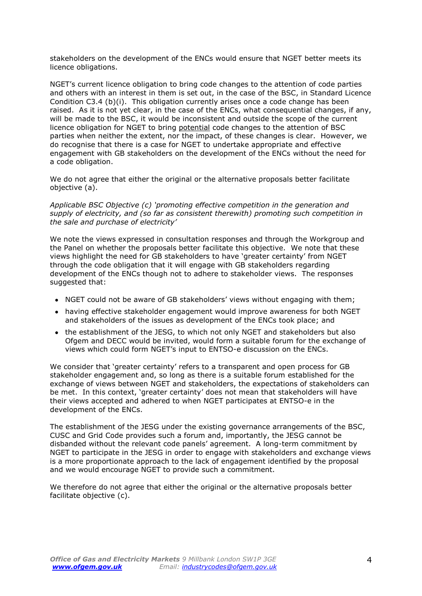stakeholders on the development of the ENCs would ensure that NGET better meets its licence obligations.

NGET's current licence obligation to bring code changes to the attention of code parties and others with an interest in them is set out, in the case of the BSC, in Standard Licence Condition C3.4 (b)(i). This obligation currently arises once a code change has been raised. As it is not yet clear, in the case of the ENCs, what consequential changes, if any, will be made to the BSC, it would be inconsistent and outside the scope of the current licence obligation for NGET to bring potential code changes to the attention of BSC parties when neither the extent, nor the impact, of these changes is clear. However, we do recognise that there is a case for NGET to undertake appropriate and effective engagement with GB stakeholders on the development of the ENCs without the need for a code obligation.

We do not agree that either the original or the alternative proposals better facilitate objective (a).

*Applicable BSC Objective (c) 'promoting effective competition in the generation and supply of electricity, and (so far as consistent therewith) promoting such competition in the sale and purchase of electricity'*

We note the views expressed in consultation responses and through the Workgroup and the Panel on whether the proposals better facilitate this objective. We note that these views highlight the need for GB stakeholders to have 'greater certainty' from NGET through the code obligation that it will engage with GB stakeholders regarding development of the ENCs though not to adhere to stakeholder views. The responses suggested that:

- NGET could not be aware of GB stakeholders' views without engaging with them;
- having effective stakeholder engagement would improve awareness for both NGET and stakeholders of the issues as development of the ENCs took place; and
- the establishment of the JESG, to which not only NGET and stakeholders but also Ofgem and DECC would be invited, would form a suitable forum for the exchange of views which could form NGET's input to ENTSO-e discussion on the ENCs.

We consider that 'greater certainty' refers to a transparent and open process for GB stakeholder engagement and, so long as there is a suitable forum established for the exchange of views between NGET and stakeholders, the expectations of stakeholders can be met. In this context, 'greater certainty' does not mean that stakeholders will have their views accepted and adhered to when NGET participates at ENTSO-e in the development of the ENCs.

The establishment of the JESG under the existing governance arrangements of the BSC, CUSC and Grid Code provides such a forum and, importantly, the JESG cannot be disbanded without the relevant code panels' agreement. A long-term commitment by NGET to participate in the JESG in order to engage with stakeholders and exchange views is a more proportionate approach to the lack of engagement identified by the proposal and we would encourage NGET to provide such a commitment.

We therefore do not agree that either the original or the alternative proposals better facilitate objective (c).